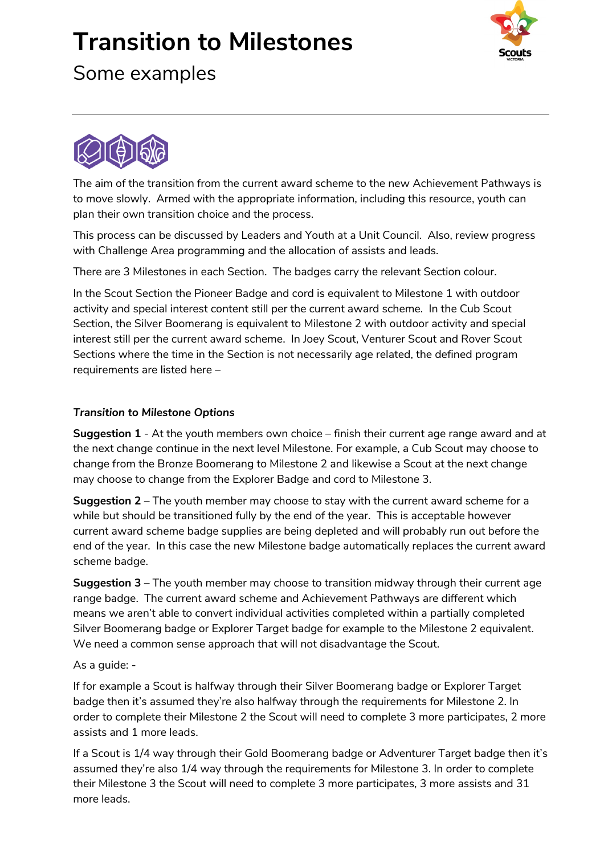## **Transition to Milestones**







The aim of the transition from the current award scheme to the new Achievement Pathways is to move slowly. Armed with the appropriate information, including this resource, youth can plan their own transition choice and the process.

This process can be discussed by Leaders and Youth at a Unit Council. Also, review progress with Challenge Area programming and the allocation of assists and leads.

There are 3 Milestones in each Section. The badges carry the relevant Section colour.

In the Scout Section the Pioneer Badge and cord is equivalent to Milestone 1 with outdoor activity and special interest content still per the current award scheme. In the Cub Scout Section, the Silver Boomerang is equivalent to Milestone 2 with outdoor activity and special interest still per the current award scheme. In Joey Scout, Venturer Scout and Rover Scout Sections where the time in the Section is not necessarily age related, the defined program requirements are listed here –

#### *Transition to Milestone Options*

**Suggestion 1** - At the youth members own choice – finish their current age range award and at the next change continue in the next level Milestone. For example, a Cub Scout may choose to change from the Bronze Boomerang to Milestone 2 and likewise a Scout at the next change may choose to change from the Explorer Badge and cord to Milestone 3.

**Suggestion 2** – The youth member may choose to stay with the current award scheme for a while but should be transitioned fully by the end of the year. This is acceptable however current award scheme badge supplies are being depleted and will probably run out before the end of the year. In this case the new Milestone badge automatically replaces the current award scheme badge.

**Suggestion 3** – The youth member may choose to transition midway through their current age range badge. The current award scheme and Achievement Pathways are different which means we aren't able to convert individual activities completed within a partially completed Silver Boomerang badge or Explorer Target badge for example to the Milestone 2 equivalent. We need a common sense approach that will not disadvantage the Scout.

#### As a guide: -

If for example a Scout is halfway through their Silver Boomerang badge or Explorer Target badge then it's assumed they're also halfway through the requirements for Milestone 2. In order to complete their Milestone 2 the Scout will need to complete 3 more participates, 2 more assists and 1 more leads.

If a Scout is 1/4 way through their Gold Boomerang badge or Adventurer Target badge then it's assumed they're also 1/4 way through the requirements for Milestone 3. In order to complete their Milestone 3 the Scout will need to complete 3 more participates, 3 more assists and 31 more leads.